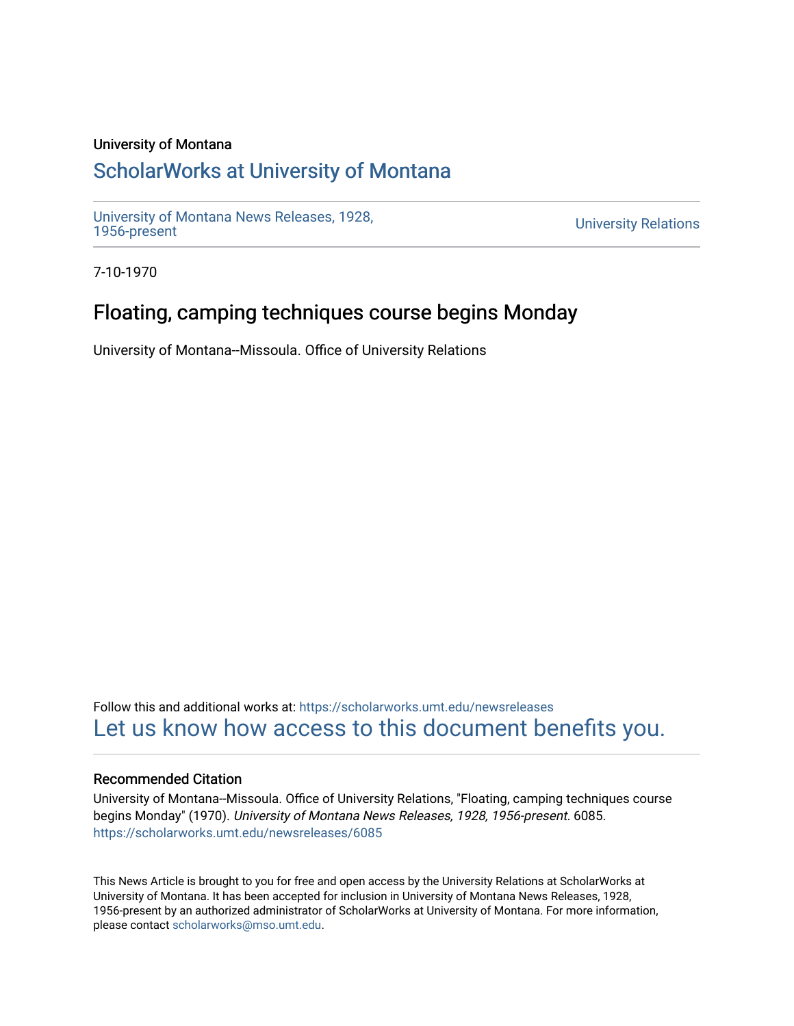## University of Montana

# [ScholarWorks at University of Montana](https://scholarworks.umt.edu/)

[University of Montana News Releases, 1928,](https://scholarworks.umt.edu/newsreleases) 

**University Relations** 

7-10-1970

# Floating, camping techniques course begins Monday

University of Montana--Missoula. Office of University Relations

Follow this and additional works at: [https://scholarworks.umt.edu/newsreleases](https://scholarworks.umt.edu/newsreleases?utm_source=scholarworks.umt.edu%2Fnewsreleases%2F6085&utm_medium=PDF&utm_campaign=PDFCoverPages) [Let us know how access to this document benefits you.](https://goo.gl/forms/s2rGfXOLzz71qgsB2) 

### Recommended Citation

University of Montana--Missoula. Office of University Relations, "Floating, camping techniques course begins Monday" (1970). University of Montana News Releases, 1928, 1956-present. 6085. [https://scholarworks.umt.edu/newsreleases/6085](https://scholarworks.umt.edu/newsreleases/6085?utm_source=scholarworks.umt.edu%2Fnewsreleases%2F6085&utm_medium=PDF&utm_campaign=PDFCoverPages) 

This News Article is brought to you for free and open access by the University Relations at ScholarWorks at University of Montana. It has been accepted for inclusion in University of Montana News Releases, 1928, 1956-present by an authorized administrator of ScholarWorks at University of Montana. For more information, please contact [scholarworks@mso.umt.edu.](mailto:scholarworks@mso.umt.edu)